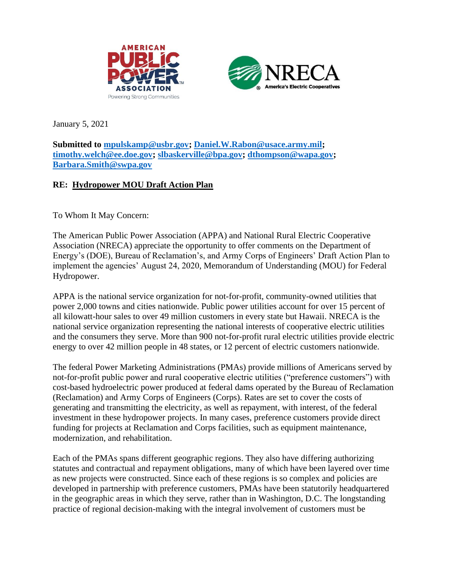



January 5, 2021

**Submitted to [mpulskamp@usbr.gov;](mailto:mpulskamp@usbr.gov) [Daniel.W.Rabon@usace.army.mil;](mailto:Daniel.W.Rabon@usace.army.mil) [timothy.welch@ee.doe.gov;](mailto:timothy.welch@ee.doe.gov) [slbaskerville@bpa.gov;](mailto:slbaskerville@bpa.gov) [dthompson@wapa.gov;](mailto:dthompson@wapa.gov) [Barbara.Smith@swpa.gov](mailto:Barbara.Smith@swpa.gov)**

## **RE: Hydropower MOU Draft Action Plan**

To Whom It May Concern:

The American Public Power Association (APPA) and National Rural Electric Cooperative Association (NRECA) appreciate the opportunity to offer comments on the Department of Energy's (DOE), Bureau of Reclamation's, and Army Corps of Engineers' Draft Action Plan to implement the agencies' August 24, 2020, Memorandum of Understanding (MOU) for Federal Hydropower.

APPA is the national service organization for not-for-profit, community-owned utilities that power 2,000 towns and cities nationwide. Public power utilities account for over 15 percent of all kilowatt-hour sales to over 49 million customers in every state but Hawaii. NRECA is the national service organization representing the national interests of cooperative electric utilities and the consumers they serve. More than 900 not-for-profit rural electric utilities provide electric energy to over 42 million people in 48 states, or 12 percent of electric customers nationwide.

The federal Power Marketing Administrations (PMAs) provide millions of Americans served by not-for-profit public power and rural cooperative electric utilities ("preference customers") with cost-based hydroelectric power produced at federal dams operated by the Bureau of Reclamation (Reclamation) and Army Corps of Engineers (Corps). Rates are set to cover the costs of generating and transmitting the electricity, as well as repayment, with interest, of the federal investment in these hydropower projects. In many cases, preference customers provide direct funding for projects at Reclamation and Corps facilities, such as equipment maintenance, modernization, and rehabilitation.

Each of the PMAs spans different geographic regions. They also have differing authorizing statutes and contractual and repayment obligations, many of which have been layered over time as new projects were constructed. Since each of these regions is so complex and policies are developed in partnership with preference customers, PMAs have been statutorily headquartered in the geographic areas in which they serve, rather than in Washington, D.C. The longstanding practice of regional decision-making with the integral involvement of customers must be